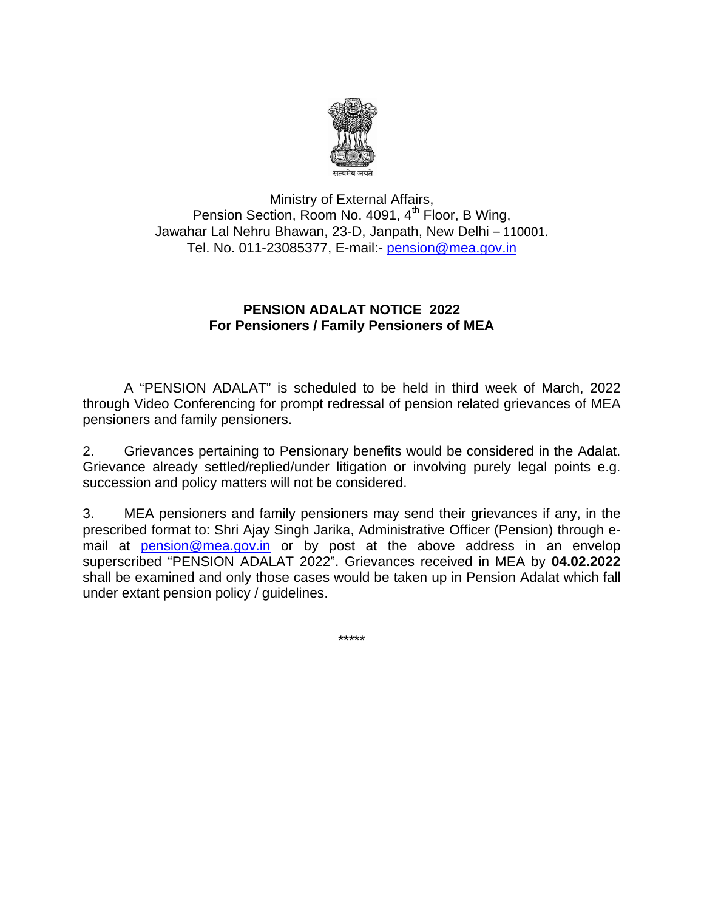

Pension Section, Room No. 4091, 4<sup>th</sup> Floor, B Wing, Jawahar Lal Nehru Bhawan, 23-D, Janpath, New Delhi - 110001. Tel. No. 011-23085377, E-mail:- **pension@mea.gov.in** Ministry o f External A Affairs,

## **PENSION ADALAT NOTICE 2022 For Pens sioners / F Family Pens sioners of f MEA**

A "PENSION ADALAT" is scheduled to be held in third week of March, 2022 through Video Conferencing for prompt redressal of pension related grievances of MEA pensioners and family pensioners.

 $2.$ Grievance already settled/replied/under litigation or involving purely legal points e.g. succession and policy matters will not be considered. Grievances pertaining to Pensionary benefits would be considered in the Adalat.

 $3<sub>l</sub>$ prescribed format to: Shri Ajay Singh Jarika, Administrative Officer (Pension) through email at **pension@mea.gov.in** or by post at the above address in an envelop superscribed "PENSION ADALAT 2022". Grievances received in MEA by 04.02.2022 shall be examined and only those cases would be taken up in Pension Adalat which fall under extant pension policy / guidelines. MEA pensioners and family pensioners may send their grievances if any, in the

\*\*\*\*\*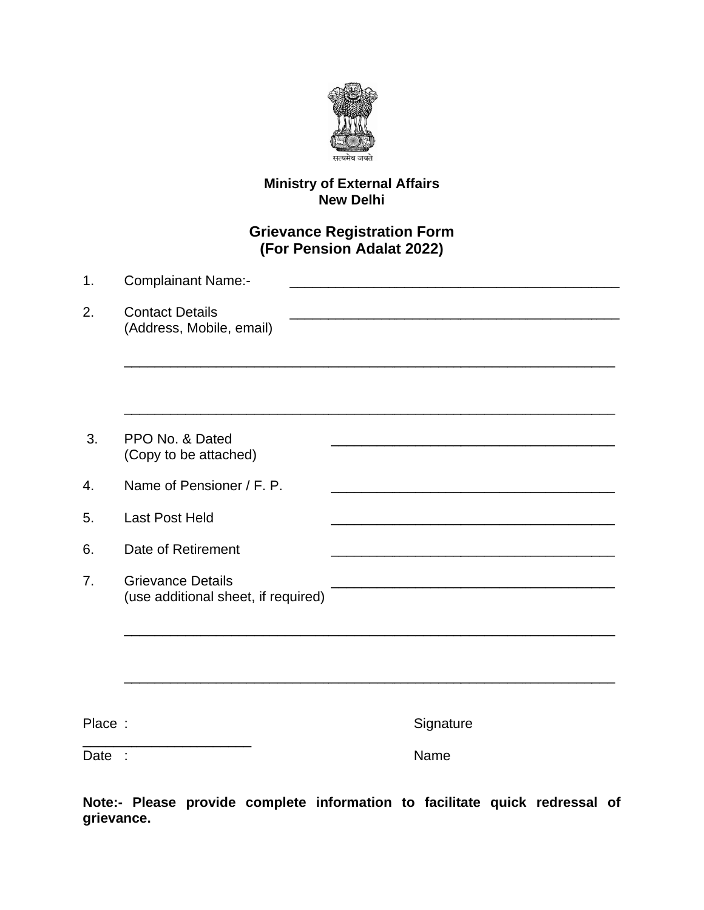

## **Ministry of External Affairs<br>New Delhi**

## **Grievance Registration Form** (For Pension Adalat 2022)

| 1. | <b>Complainant Name:-</b>                                       |
|----|-----------------------------------------------------------------|
| 2. | <b>Contact Details</b><br>(Address, Mobile, email)              |
|    |                                                                 |
| 3. | PPO No. & Dated<br>(Copy to be attached)                        |
| 4. | Name of Pensioner / F. P.                                       |
| 5. | <b>Last Post Held</b>                                           |
| 6. | Date of Retirement                                              |
| 7. | <b>Grievance Details</b><br>(use additional sheet, if required) |
|    |                                                                 |

Place:

Signature

 $\overline{\text{Date}}$  :

Name

Note:- Please provide complete information to facilitate quick redressal of grievance.